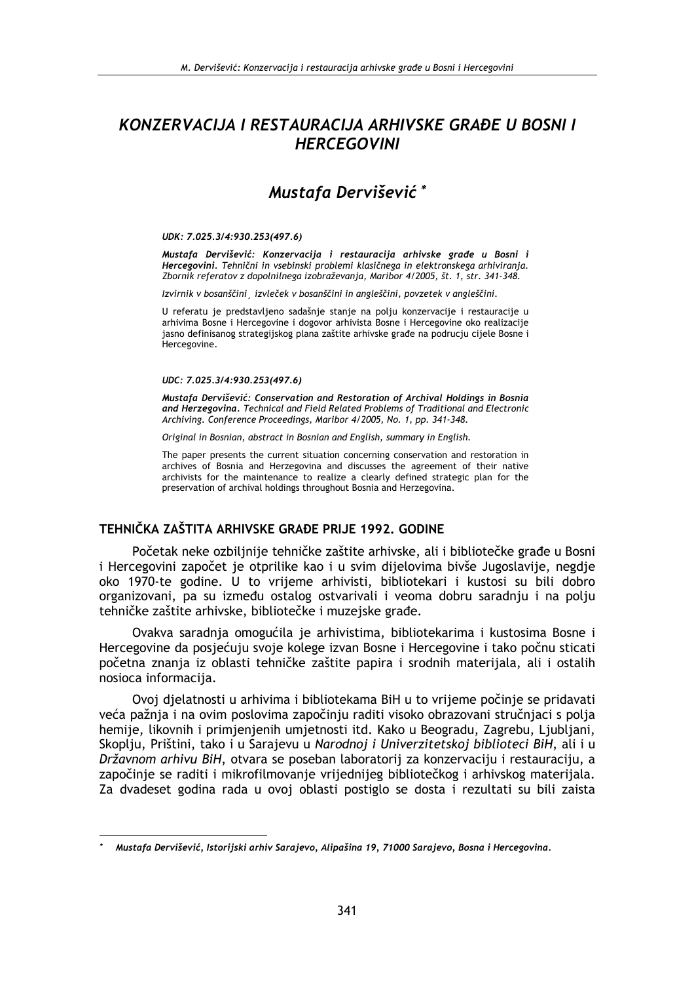# KONZERVACIJA I RESTAURACIJA ARHIVSKE GRAĐE U BOSNI I **HERCEGOVINI**

# Mustafa Dervišević\*

#### UDK: 7.025.3/4:930.253(497.6)

Mustafa Dervišević: Konzervacija i restauracija arhivske građe u Bosni i Hercegovini. Tehnični in vsebinski problemi klasičnega in elektronskega arhiviranja. Zbornik referatov z dopolnilnega izobraževania, Maribor 4/2005, št. 1, str. 341-348.

Izvirnik v bosanščini izvleček v bosanščini in angleščini, povzetek v angleščini.

U referatu je predstavljeno sadašnje stanje na polju konzervacije i restauracije u arhivima Bosne i Hercegovine i dogovor arhivista Bosne i Hercegovine oko realizacije jasno definisanog strategijskog plana zaštite arhivske građe na podrucju cijele Bosne i Hercegovine.

#### UDC: 7.025.3/4:930.253(497.6)

Mustafa Dervišević: Conservation and Restoration of Archival Holdings in Bosnia and Herzegovina. Technical and Field Related Problems of Traditional and Electronic Archiving. Conference Proceedings, Maribor 4/2005, No. 1, pp. 341-348.

Original in Bosnian, abstract in Bosnian and English, summary in English.

The paper presents the current situation concerning conservation and restoration in archives of Bosnia and Herzegovina and discusses the agreement of their native archivists for the maintenance to realize a clearly defined strategic plan for the preservation of archival holdings throughout Bosnia and Herzegovina.

## TEHNIČKA ZAŠTITA ARHIVSKE GRAĐE PRIJE 1992. GODINE

Početak neke ozbiljnije tehničke zaštite arhivske, ali i bibliotečke građe u Bosni i Hercegovini započet je otprilike kao i u svim dijelovima bivše Jugoslavije, negdje oko 1970-te godine. U to vrijeme arhivisti, bibliotekari i kustosi su bili dobro organizovani. pa su između ostalog ostvarivali i veoma dobru saradnju i na polju tehničke zaštite arhivske, bibliotečke i muzejske građe.

Ovakva saradnia omogućila je arhivistima, bibliotekarima i kustosima Bosne i Hercegovine da posiećuju svoje kolege izvan Bosne i Hercegovine i tako počnu sticati početna znanja iz oblasti tehničke zaštite papira i srodnih materijala, ali i ostalih nosioca informacija.

Ovoj djelatnosti u arhivima i bibliotekama BiH u to vrijeme počinje se pridavati veća pažnja i na ovim poslovima započinju raditi visoko obrazovani stručnjaci s polja hemije, likovnih i primjenjenih umjetnosti itd. Kako u Beogradu, Zagrebu, Ljubljani, Skoplju, Prištini, tako i u Sarajevu u Narodnoj i Univerzitetskoj biblioteci BiH, ali i u Državnom arhivu BiH, otvara se poseban laboratorij za konzervaciju i restauraciju, a započinje se raditi i mikrofilmovanje vrijednijeg bibliotečkog i arhivskog materijala. Za dvadeset godina rada u ovoj oblasti postiglo se dosta i rezultati su bili zaista

Mustafa Dervišević, Istorijski arhiv Sarajevo, Alipašina 19, 71000 Sarajevo, Bosna i Hercegovina.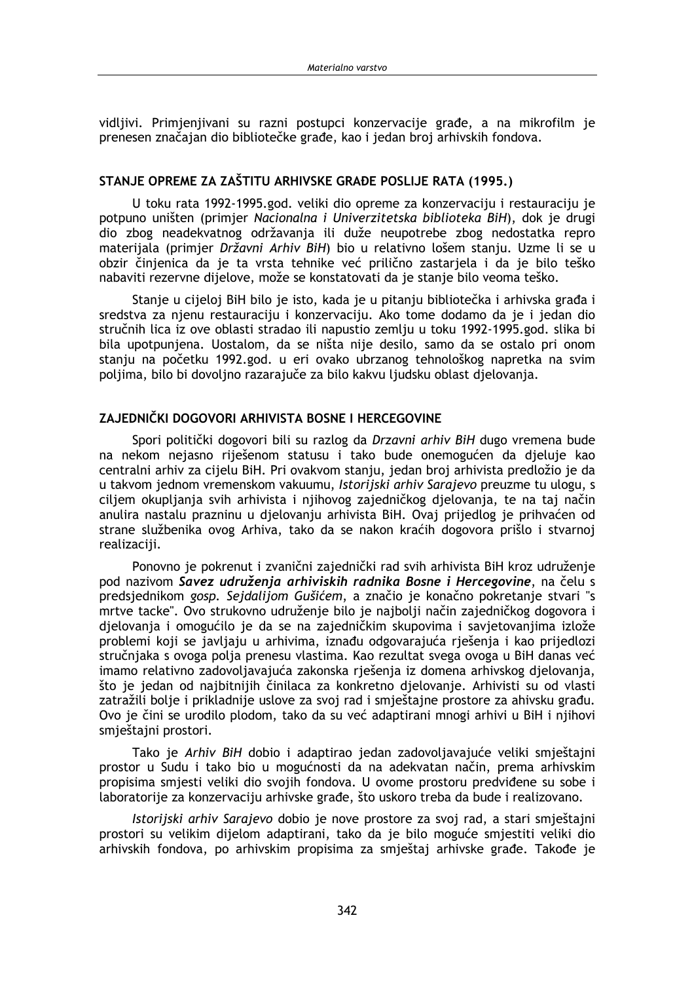vidlijvi. Primienijvani su razni postupci konzervacije građe, a na mikrofilm je prenesen značajan dio bibliotečke građe, kao i jedan broj arhivskih fondova.

### STANJE OPREME ZA ZAŠTITU ARHIVSKE GRAĐE POSLIJE RATA (1995.)

U toku rata 1992-1995.god. veliki dio opreme za konzervaciju i restauraciju je potpuno uništen (primjer Nacionalna i Univerzitetska biblioteka BiH), dok je drugi dio zbog neadekvatnog održavanja ili duže neupotrebe zbog nedostatka repro materijala (primjer Državni Arhiv BiH) bio u relativno lošem stanju. Uzme li se u obzir činjenica da je ta vrsta tehnike već prilično zastarjela i da je bilo teško nabaviti rezervne dijelove, može se konstatovati da je stanje bilo veoma teško.

Stanje u cijeloj BiH bilo je isto, kada je u pitanju bibliotečka i arhivska građa i sredstva za njenu restauraciju i konzervaciju. Ako tome dodamo da je i jedan dio stručnih lica iz ove oblasti stradao ili napustio zemlju u toku 1992-1995.god. slika bi bila upotpunjena. Uostalom, da se ništa nije desilo, samo da se ostalo pri onom stanju na početku 1992.god. u eri ovako ubrzanog tehnološkog napretka na svim poljima, bilo bi dovoljno razarajuče za bilo kakvu ljudsku oblast djelovanja.

### ZAJEDNIČKI DOGOVORI ARHIVISTA BOSNE I HERCEGOVINE

Spori politički dogovori bili su razlog da Drzavni arhiv BiH dugo vremena bude na nekom nejasno riješenom statusu i tako bude onemogućen da djeluje kao centralni arhiv za cijelu BiH. Pri ovakvom stanju, jedan broj arhivista predložio je da u takvom jednom vremenskom vakuumu, Istorijski arhiv Sarajevo preuzme tu ulogu, s ciljem okupljanja svih arhivista i njihovog zajedničkog djelovanja, te na taj način anulira nastalu prazninu u djelovanju arhivista BiH. Ovaj prijedlog je prihvaćen od strane službenika ovog Arhiva, tako da se nakon kraćih dogovora prišlo i stvarnoj realizaciji.

Ponovno je pokrenut i zvanični zajednički rad svih arhivista BiH kroz udruženje pod nazivom Savez udruženja arhiviskih radnika Bosne i Hercegovine, na čelu s predsiednikom gosp. Sejdalijom Gušićem, a značio je konačno pokretanje stvari "s mrtve tacke". Ovo strukovno udruženie bilo je najbolji način zajedničkog dogovora j djelovanja i omogućilo je da se na zajedničkim skupovima i savjetovanjima izlože problemi koji se javljaju u arhivima, iznađu odgovarajuća rješenja i kao prijedlozi stručnjaka s ovoga polja prenesu vlastima. Kao rezultat svega ovoga u BiH danas već imamo relativno zadovoljavajuća zakonska rješenja iz domena arhivskog djelovanja, što je jedan od najbitnijih činilaca za konkretno djelovanje. Arhivisti su od vlasti zatražili bolje i prikladnije uslove za svoj rad i smještajne prostore za ahivsku građu. Ovo je čini se urodilo plodom, tako da su već adaptirani mnogi arhivi u BiH i njihovi smještajni prostori.

Tako je Arhiv BiH dobio i adaptirao jedan zadovoljavajuće veliki smještajni prostor u Sudu i tako bio u mogućnosti da na adekvatan način, prema arhivskim propisima smjesti veliki dio svojih fondova. U ovome prostoru predviđene su sobe i laboratorije za konzervaciju arhivske građe, što uskoro treba da bude i realizovano.

Istorijski arhiv Sarajevo dobio je nove prostore za svoj rad, a stari smještajni prostori su velikim dijelom adaptirani, tako da je bilo moguće smjestiti veliki dio arhivskih fondova, po arhivskim propisima za smještaj arhivske građe. Takođe je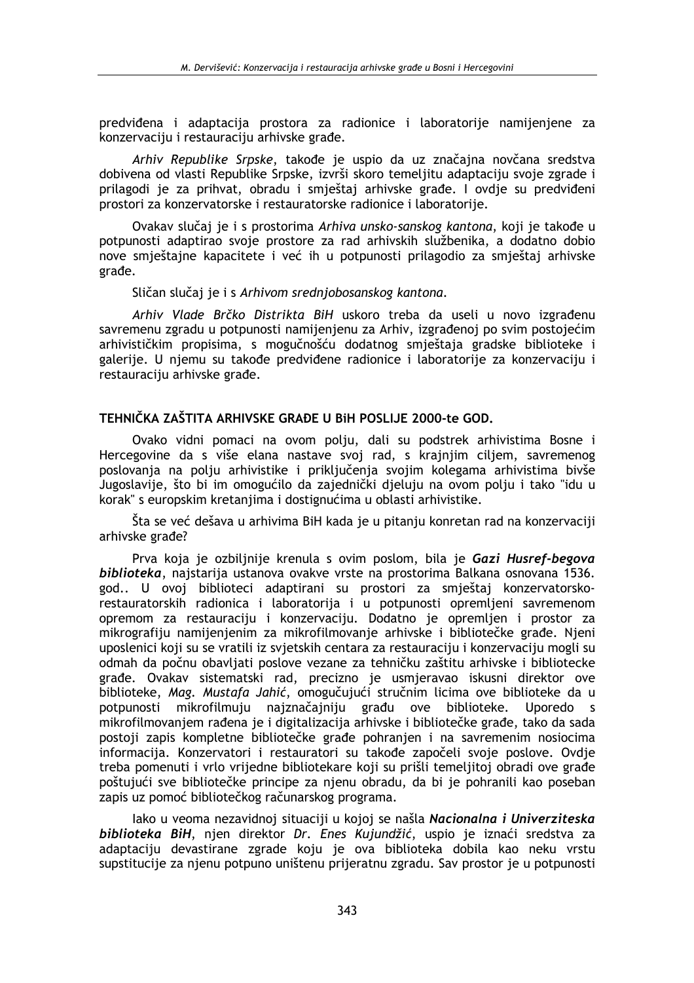predviđena i adaptacija prostora za radionice i laboratorije namijenjene za konzervaciju i restauraciju arhivske građe.

Arhiv Republike Srpske, takođe je uspio da uz značajna novčana sredstva dobivena od vlasti Republike Srpske, izvrši skoro temelijtu adaptaciju svoje zgrade i prilagodi je za prihvat, obradu i smieštaj arhivske građe. I ovdje su predviđeni prostori za konzervatorske i restauratorske radionice i laboratorije.

Ovakav slučaj je i s prostorima Arhiva unsko-sanskog kantona, koji je takođe u potpunosti adaptirao svoje prostore za rad arhivskih službenika, a dodatno dobio nove smještajne kapacitete i već ih u potpunosti prilagodio za smještaj arhivske građe.

Sličan slučaj je i s Arhivom srednjobosanskog kantona.

Arhiv Vlade Brčko Distrikta BiH uskoro treba da useli u novo izgrađenu savremenu zgradu u potpunosti namijenjenu za Arhiv, izgrađenoj po svim postojećim arhivističkim propisima, s mogučnošću dodatnog smještaja gradske biblioteke i galerije. U njemu su takođe predviđene radionice i laboratorije za konzervaciju i restauraciju arhivske građe.

## TEHNIČKA ZAŠTITA ARHIVSKE GRAĐE U BIH POSLIJE 2000-te GOD.

Ovako vidni pomaci na ovom polju, dali su podstrek arhivistima Bosne i Hercegovine da s više elana nastave svoj rad, s krajnjim ciljem, savremenog poslovanja na polju arhivistike i priključenja svojim kolegama arhivistima bivše Jugoslavije, što bi im omogućilo da zajednički djeluju na ovom polju i tako "idu u korak" s europskim kretanjima i dostignućima u oblasti arhivistike.

Šta se već dešava u arhivima BiH kada je u pitanju konretan rad na konzervaciji arhivske građe?

Prva koja je ozbiljnije krenula s ovim poslom, bila je Gazi Husref-begova biblioteka, najstarija ustanova ovakve vrste na prostorima Balkana osnovana 1536. god.. U ovoj biblioteci adaptirani su prostori za smještaj konzervatorskorestauratorskih radionica i laboratorija i u potpunosti opremljeni savremenom opremom za restauraciju i konzervaciju. Dodatno je opremljen i prostor za mikrografiju namijenjenim za mikrofilmovanje arhivske i bibliotečke građe. Njeni uposlenici koji su se vratili iz svjetskih centara za restauraciju i konzervaciju mogli su odmah da počnu obavljati poslove vezane za tehničku zaštitu arhivske i bibliotecke građe. Ovakav sistematski rad, precizno je usmjeravao iskusni direktor ove biblioteke, Mag. Mustafa Jahić, omogučujući stručnim licima ove biblioteke da u potpunosti mikrofilmuju najznačajniju građu ove biblioteke. Uporedo  $\mathsf{S}$ mikrofilmovanjem rađena je i digitalizacija arhivske i bibliotečke građe, tako da sada postoji zapis kompletne bibliotečke građe pohranjen i na savremenim nosiocima informacija. Konzervatori i restauratori su takođe započeli svoje poslove. Ovdje treba pomenuti i vrlo vrijedne bibliotekare koji su prišli temeljitoj obradi ove građe poštujući sve bibliotečke principe za njenu obradu, da bi je pohranili kao poseban zapis uz pomoć bibliotečkog računarskog programa.

lako u veoma nezavidnoj situaciji u kojoj se našla Nacionalna i Univerziteska biblioteka BiH, njen direktor Dr. Enes Kujundžić, uspio je iznaći sredstva za adaptaciju devastirane zgrade koju je ova biblioteka dobila kao neku vrstu supstitucije za njenu potpuno uništenu prijeratnu zgradu. Sav prostor je u potpunosti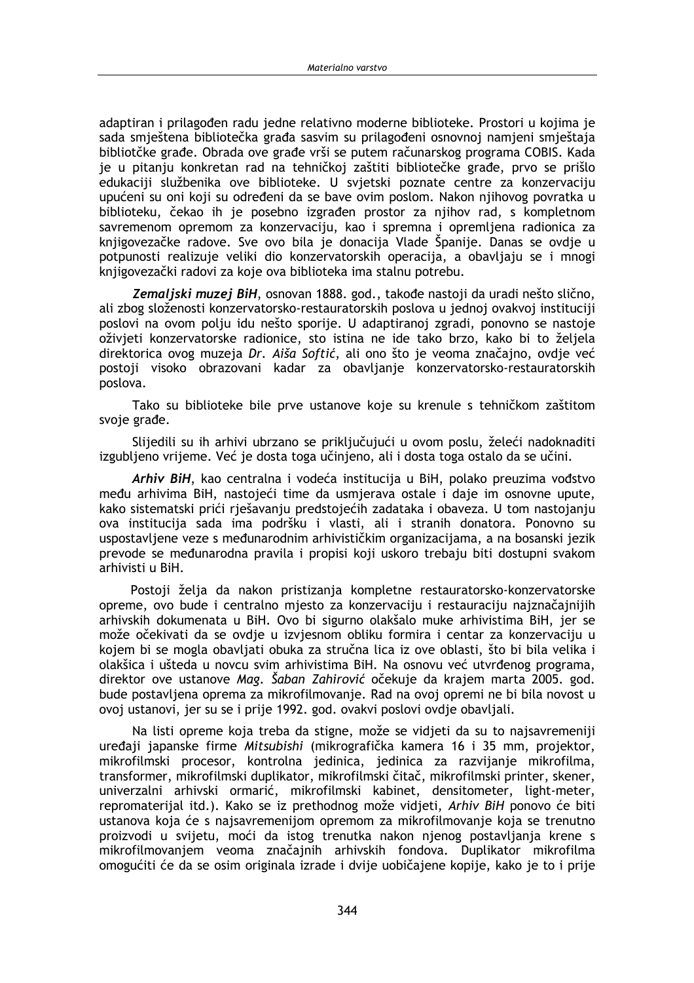adaptiran i prilagođen radu jedne relativno moderne biblioteke. Prostori u kojima je sada smieštena bibliotečka građa sasvim su prilagođeni osnovnoj namjeni smještaja bibliotčke građe. Obrada ove građe vrši se putem računarskog programa COBIS. Kada je u pitanju konkretan rad na tehničkoj zaštiti bibliotečke građe, prvo se prišlo edukaciji službenika ove biblioteke. U svjetski poznate centre za konzervaciju upućeni su oni koji su određeni da se bave ovim poslom. Nakon njihovog povratka u biblioteku, čekao ih je posebno izgrađen prostor za njihov rad, s kompletnom savremenom opremom za konzervaciju, kao i spremna i opremljena radionica za knjigovezačke radove. Sve ovo bila je donacija Vlade Španije. Danas se ovdje u potpunosti realizuje veliki dio konzervatorskih operacija, a obavljaju se i mnogi knjigovezački radovi za koje ova biblioteka ima stalnu potrebu.

Zemaljski muzej BiH, osnovan 1888. god., takođe nastoji da uradi nešto slično, ali zbog složenosti konzervatorsko-restauratorskih poslova u jednoj ovakvoj instituciji poslovi na ovom polju idu nešto sporije. U adaptiranoj zgradi, ponovno se nastoje oživjeti konzervatorske radionice, sto istina ne ide tako brzo, kako bi to željela direktorica ovog muzeja Dr. Aiša Softić, ali ono što je veoma značajno, ovdje već postoji visoko obrazovani kadar za obavljanje konzervatorsko-restauratorskih poslova.

Tako su biblioteke bile prve ustanove koje su krenule s tehničkom zaštitom svoje građe.

Slijedili su ih arhivi ubrzano se priključujući u ovom poslu. želeći nadoknaditi izgubljeno vrijeme. Već je dosta toga učinjeno, ali i dosta toga ostalo da se učini.

Arhiv BiH, kao centralna i vodeća institucija u BiH, polako preuzima vođstvo među arhivima BiH, nastojeći time da usmjerava ostale i daje im osnovne upute, kako sistematski prići riešavanju predstojećih zadataka i obaveza. U tom nastojanju ova institucija sada ima podršku i vlasti, ali i stranih donatora. Ponovno su uspostavljene veze s međunarodnim arhivističkim organizacijama, a na bosanski jezik prevode se međunarodna pravila i propisi koji uskoro trebaju biti dostupni svakom arhivisti u BiH.

Postoji želja da nakon pristizanja kompletne restauratorsko-konzervatorske opreme, ovo bude i centralno mjesto za konzervaciju i restauraciju najznačajnijih arhivskih dokumenata u BiH. Ovo bi sigurno olakšalo muke arhivistima BiH, jer se može očekivati da se ovdie u izviesnom obliku formira i centar za konzervaciju u kojem bi se mogla obavljati obuka za stručna lica iz ove oblasti, što bi bila velika i olakšica i ušteda u novcu svim arhivistima BiH. Na osnovu već utvrđenog programa. direktor ove ustanove Mag. Šaban Zahirović očekuje da krajem marta 2005. god. bude postavljena oprema za mikrofilmovanje. Rad na ovoj opremi ne bi bila novost u ovoj ustanovi, jer su se i prije 1992. god. ovakvi poslovi ovdje obavljali.

Na listi opreme koja treba da stigne, može se vidjeti da su to najsavremeniji uređaji japanske firme Mitsubishi (mikrografička kamera 16 i 35 mm, projektor, mikrofilmski procesor, kontrolna jedinica, jedinica za razvijanje mikrofilma, transformer, mikrofilmski duplikator, mikrofilmski čitač, mikrofilmski printer, skener, univerzalni arhivski ormarić, mikrofilmski kabinet, densitometer, light-meter, repromaterijal itd.). Kako se iz prethodnog može vidjeti, Arhiv BiH ponovo će biti ustanova koja će s najsavremenijom opremom za mikrofilmovanje koja se trenutno proizvodi u svijetu, moći da istog trenutka nakon njenog postavljanja krene s mikrofilmovanjem veoma značajnih arhivskih fondova. Duplikator mikrofilma omogućiti će da se osim originala izrade i dvije uobičajene kopije, kako je to i prije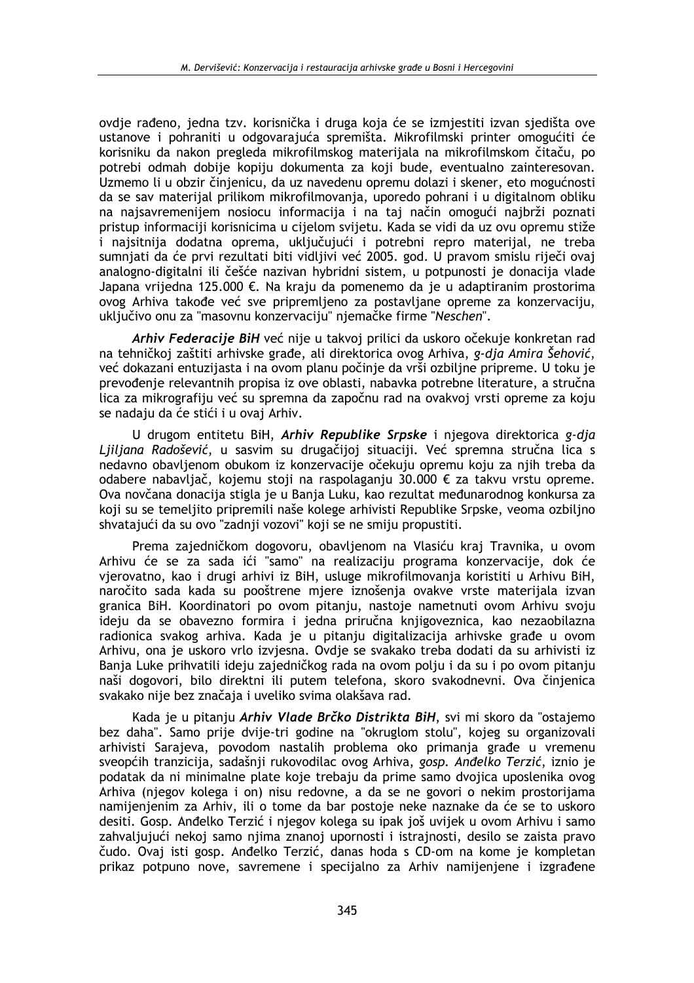ovdie rađeno, jedna tzv. korisnička i druga koja će se izmiestiti izvan sjedišta ove ustanove i pohraniti u odgovarajuća spremišta. Mikrofilmski printer omogućiti će korisniku da nakon pregleda mikrofilmskog materijala na mikrofilmskom čitaču, po potrebi odmah dobije kopiju dokumenta za koji bude, eventualno zainteresovan. Uzmemo li u obzir činjenicu, da uz navedenu opremu dolazi i skener, eto mogućnosti da se sav materijal prilikom mikrofilmovanja, uporedo pohrani i u digitalnom obliku na naisavremenijem nosiocu informacija i na taj način omogući najbrži poznati pristup informaciji korisnicima u cijelom svijetu. Kada se vidi da uz ovu opremu stiže i najsitnija dodatna oprema, uključujući i potrebni repro materijal, ne treba sumnjati da će prvi rezultati biti vidljivi već 2005. god. U pravom smislu riječi ovaj analogno-digitalni ili češće nazivan hybridni sistem, u potpunosti je donacija vlade Japana vrijedna 125.000 €. Na kraju da pomenemo da je u adaptiranim prostorima ovog Arhiva takođe već sve pripremljeno za postavljane opreme za konzervaciju, uključivo onu za "masovnu konzervaciju" njemačke firme "Neschen".

Arhiv Federacije BiH već nije u takvoj prilici da uskoro očekuje konkretan rad na tehničkoj zaštiti arhivske građe, ali direktorica ovog Arhiva, g-dja Amira Šehović, već dokazani entuzijasta i na ovom planu počinje da vrši ozbiljne pripreme. U toku je prevođenje relevantnih propisa iz ove oblasti, nabavka potrebne literature, a stručna lica za mikrografiju već su spremna da započnu rad na ovakvoj vrsti opreme za koju se nadaju da će stići i u ovaj Arhiv.

U drugom entitetu BiH, Arhiv Republike Srpske i njegova direktorica g-dja Ljiljana Radošević, u sasvim su drugačijoj situaciji. Već spremna stručna lica s nedavno obavljenom obukom iz konzervacije očekuju opremu koju za njih treba da odabere nabavljač, kojemu stoji na raspolaganju 30.000 € za takvu vrstu opreme. Ova novčana donacija stigla je u Banja Luku, kao rezultat međunarodnog konkursa za koji su se temeljito pripremili naše kolege arhivisti Republike Srpske, veoma ozbiljno shvatajući da su ovo "zadnji vozovi" koji se ne smiju propustiti.

Prema zajedničkom dogovoru, obavljenom na Vlasiću kraj Travnika, u ovom Arhivu će se za sada ići "samo" na realizaciju programa konzervacije, dok će vierovatno, kao i drugi arhivi iz BiH, usluge mikrofilmovania koristiti u Arhivu BiH, naročito sada kada su pooštrene mjere iznošenja ovakve vrste materijala izvan granica BiH. Koordinatori po ovom pitanju, nastoje nametnuti ovom Arhivu svoju ideju da se obavezno formira i jedna priručna knjigoveznica, kao nezaobilazna radionica svakog arhiva. Kada je u pitanju digitalizacija arhivske građe u ovom Arhivu, ona je uskoro vrlo izvjesna. Ovdje se svakako treba dodati da su arhivisti iz Banja Luke prihvatili ideju zajedničkog rada na ovom polju i da su i po ovom pitanju naši dogovori, bilo direktni ili putem telefona, skoro svakodnevni. Ova činjenica svakako nije bez značaja i uveliko svima olakšava rad.

Kada je u pitanju Arhiv Vlade Brčko Distrikta BiH, svi mi skoro da "ostajemo bez daha". Samo prije dvije-tri godine na "okruglom stolu", kojeg su organizovali arhivisti Sarajeva, povodom nastalih problema oko primanja građe u vremenu sveopćih tranzicija, sadašnji rukovodilac ovog Arhiva, gosp. Anđelko Terzić, iznio je podatak da ni minimalne plate koje trebaju da prime samo dvojica uposlenika ovog Arhiva (njegov kolega i on) nisu redovne, a da se ne govori o nekim prostorijama namijenjenim za Arhiv, ili o tome da bar postoje neke naznake da će se to uskoro desiti. Gosp. Anđelko Terzić i njegov kolega su ipak još uvijek u ovom Arhivu i samo zahvaljujući nekoj samo njima znanoj upornosti i istrajnosti, desilo se zaista pravo čudo. Ovaj isti gosp. Anđelko Terzić, danas hoda s CD-om na kome je kompletan prikaz potpuno nove, savremene i specijalno za Arhiv namijenjene i izgrađene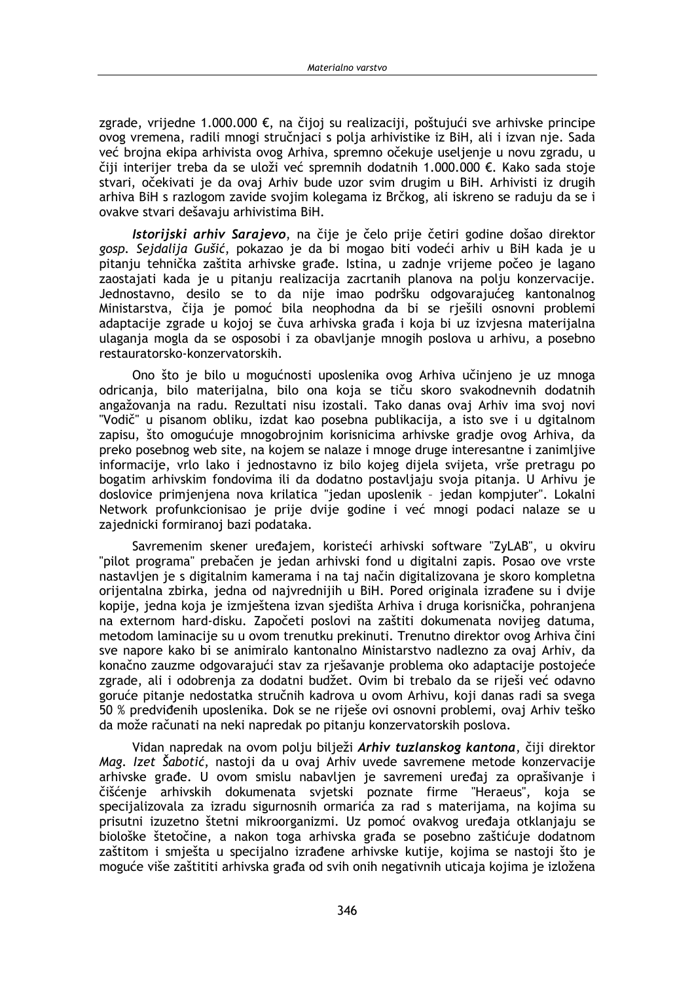zgrade, vrijedne 1.000.000 €, na čijoj su realizaciji, poštujući sve arhivske principe ovog vremena, radili mnogi stručnjaci s polja arhivistike iz BiH, ali i izvan nje. Sada već brojna ekipa arhivista ovog Arhiva, spremno očekuje useljenje u novu zgradu, u čiji interijer treba da se uloži već spremnih dodatnih 1.000.000 €. Kako sada stoje stvari, očekivati je da ovaj Arhiv bude uzor svim drugim u BiH. Arhivisti iz drugih arhiva BiH s razlogom zavide svojim kolegama iz Brčkog, ali iskreno se raduju da se i ovakve stvari dešavaju arhivistima BiH.

Istorijski arhiv Sarajevo, na čije je čelo prije četiri godine došao direktor gosp. Sejdalija Gušić, pokazao je da bi mogao biti vodeći arhiv u BiH kada je u pitanju tehnička zaštita arhivske građe. Istina, u zadnje vrijeme počeo je lagano zaostajati kada je u pitanju realizacija zacrtanih planova na polju konzervacije. Jednostavno, desilo se to da nije imao podršku odgovarajućeg kantonalnog Ministarstva, čija je pomoć bila neophodna da bi se rješili osnovni problemi adaptacije zgrade u kojoj se čuva arhivska građa i koja bi uz izvjesna materijalna ulaganja mogla da se osposobi i za obavljanje mnogih poslova u arhivu, a posebno restauratorsko-konzervatorskih.

Ono što je bilo u mogućnosti uposlenika ovog Arhiva učinjeno je uz mnoga odricania, bilo materijalna, bilo ona koja se tiču skoro svakodnevnih dodatnih angažovanja na radu. Rezultati nisu izostali. Tako danas ovaj Arhiv ima svoj novi "Vodič" u pisanom obliku, izdat kao posebna publikacija, a isto sve i u dgitalnom zapisu, što omogućuje mnogobrojnim korisnicima arhivske gradje ovog Arhiva, da preko posebnog web site, na kojem se nalaze i mnoge druge interesantne i zanimljive informacije, vrlo lako i jednostavno iz bilo kojeg dijela svijeta, vrše pretragu po bogatim arhivskim fondovima ili da dodatno postavljaju svoja pitanja. U Arhivu je doslovice primjenjena nova krilatica "jedan uposlenik - jedan kompjuter". Lokalni Network profunkcionisao je prije dvije godine i već mnogi podaci nalaze se u zajednicki formiranoj bazi podataka.

Savremenim skener uređajem, koristeći arhivski software "ZvLAB", u okviru "pilot programa" prebačen je jedan arhivski fond u digitalni zapis. Posao ove vrste nastavljen je s digitalnim kamerama i na taj način digitalizovana je skoro kompletna orijentalna zbirka, jedna od najvrednijih u BiH. Pored originala izrađene su i dvije kopije, jedna koja je izmještena izvan sjedišta Arhiva i druga korisnička, pohranjena na externom hard-disku. Započeti poslovi na zaštiti dokumenata novijeg datuma, metodom laminacije su u ovom trenutku prekinuti. Trenutno direktor ovog Arhiva čini sve napore kako bi se animiralo kantonalno Ministarstvo nadlezno za ovaj Arhiv, da konačno zauzme odgovarajući stav za rješavanje problema oko adaptacije postojeće zgrade, ali i odobrenja za dodatni budžet. Ovim bi trebalo da se riješi već odavno goruće pitanje nedostatka stručnih kadrova u ovom Arhivu, koji danas radi sa svega 50 % predviđenih uposlenika. Dok se ne riješe ovi osnovni problemi, ovaj Arhiv teško da može računati na neki napredak po pitanju konzervatorskih poslova.

Vidan napredak na ovom polju bilježi Arhiv tuzlanskog kantona, čiji direktor Mag. Izet Šabotić, nastoji da u ovaj Arhiv uvede savremene metode konzervacije arhivske građe. U ovom smislu nabavljen je savremeni uređaj za oprašivanje i čišćenje arhivskih dokumenata svjetski poznate firme "Heraeus", koja se specijalizovala za izradu sigurnosnih ormarića za rad s materijama, na kojima su prisutni izuzetno štetni mikroorganizmi. Uz pomoć ovakvog uređaja otklanjaju se biološke štetočine, a nakon toga arhivska građa se posebno zaštićuje dodatnom zaštitom i smješta u specijalno izrađene arhivske kutije, kojima se nastoji što je moguće više zaštititi arhivska građa od svih onih negativnih uticaja kojima je izložena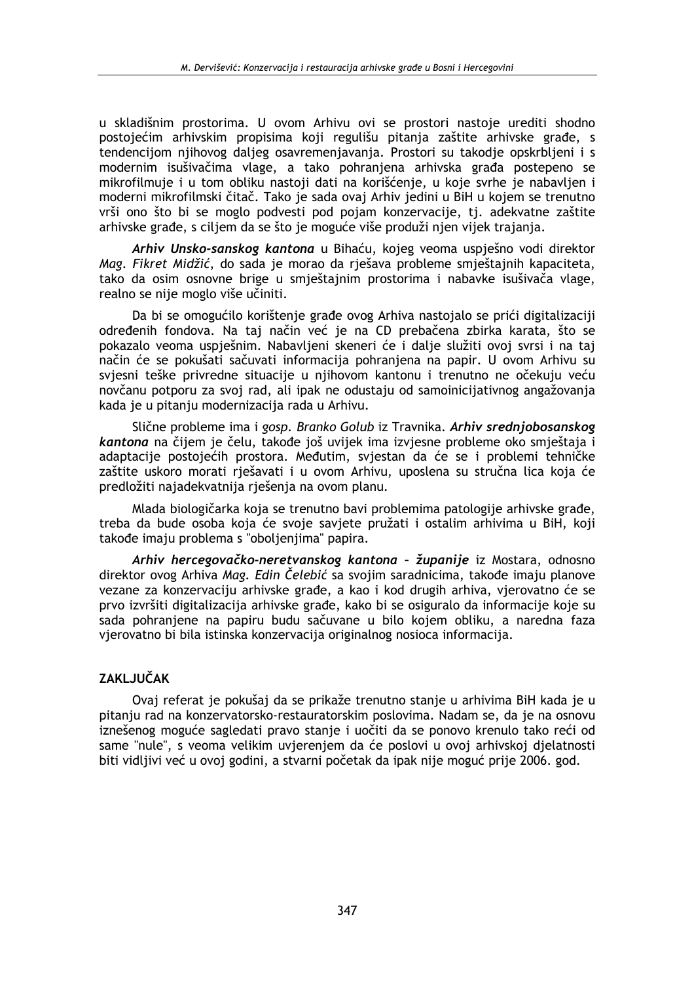u skladišnim prostorima. U ovom Arhivu ovi se prostori nastoje urediti shodno postojećim arhivskim propisima koji regulišu pitania zaštite arhivske građe, s tendencijom nijhovog daljeg osavremenjavanja. Prostori su takodje opskrbljeni i s modernim isušivačima vlage, a tako pohranjena arhivska građa postepeno se mikrofilmuje i u tom obliku nastoji dati na korišćenje, u koje svrhe je nabavljen i moderni mikrofilmski čitač. Tako je sada ovaj Arhiv jedini u BiH u kojem se trenutno vrši ono što bi se moglo podvesti pod pojam konzervacije, tj. adekvatne zaštite arhivske građe, s ciljem da se što je moguće više produži njen vijek trajanja.

Arhiv Unsko-sanskog kantona u Bihaću, kojeg veoma uspješno vodi direktor Mag. Fikret Midžić, do sada je morao da rješava probleme smještajnih kapaciteta, tako da osim osnovne brige u smještajnim prostorima i nabavke isušivača vlage, realno se nije moglo više učiniti.

Da bi se omogućilo korištenje građe ovog Arhiva nastojalo se prići digitalizaciji određenih fondova. Na taj način već je na CD prebačena zbirka karata, što se pokazalo veoma uspješnim. Nabavljeni skeneri će i dalje služiti ovoj svrsi i na taj način će se pokušati sačuvati informacija pohranjena na papir. U ovom Arhivu su svjesni teške privredne situacije u njihovom kantonu i trenutno ne očekuju veću novčanu potporu za svoj rad, ali ipak ne odustaju od samoinicijativnog angažovanja kada je u pitanju modernizacija rada u Arhivu.

Slične probleme ima i gosp. Branko Golub iz Travnika. Arhiv srednjobosanskog kantona na čijem je čelu, takođe još uvijek ima izviesne probleme oko smještaja i adaptacije postojećih prostora. Međutim, svjestan da će se i problemi tehničke zaštite uskoro morati rješavati i u ovom Arhivu, uposlena su stručna lica koja će predložiti najadekvatnija rješenja na ovom planu.

Mlada biologičarka koja se trenutno bavi problemima patologije arhivske građe. treba da bude osoba koja će svoje savjete pružati i ostalim arhivima u BiH, koji takođe imaju problema s "oboljenjima" papira.

Arhiv hercegovačko-neretvanskog kantona - županije iz Mostara, odnosno direktor ovog Arhiva Mag. Edin Čelebić sa svojim saradnicima, takođe imaju planove vezane za konzervaciju arhivske građe, a kao i kod drugih arhiva, vjerovatno će se prvo izvršiti digitalizacija arhivske građe, kako bi se osiguralo da informacije koje su sada pohranjene na papiru budu sačuvane u bilo kojem obliku, a naredna faza vierovatno bi bila istinska konzervacija originalnog nosioca informacija.

# **ZAKLJUČAK**

Ovaj referat je pokušaj da se prikaže trenutno stanje u arhivima BiH kada je u pitanju rad na konzervatorsko-restauratorskim poslovima. Nadam se, da je na osnovu iznešenog moguće sagledati pravo stanje i uočiti da se ponovo krenulo tako reći od same "nule", s veoma velikim uvjerenjem da će poslovi u ovoj arhivskoj djelatnosti biti vidljivi već u ovoj godini, a stvarni početak da ipak nije moguć prije 2006. god.